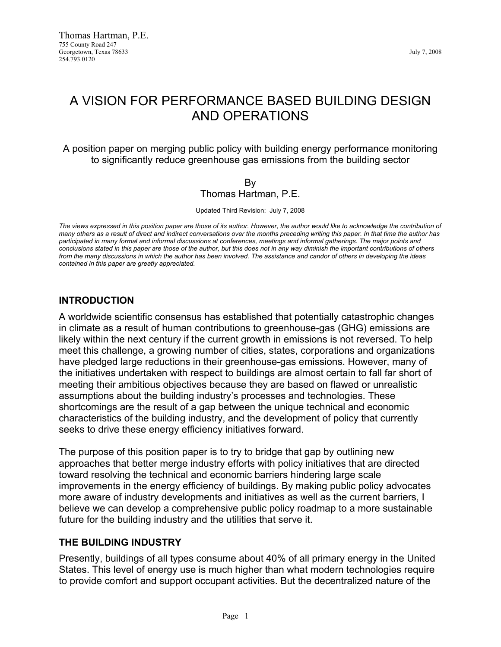# A VISION FOR PERFORMANCE BASED BUILDING DESIGN AND OPERATIONS

A position paper on merging public policy with building energy performance monitoring to significantly reduce greenhouse gas emissions from the building sector

#### By Thomas Hartman, P.E.

Updated Third Revision: July 7, 2008

*The views expressed in this position paper are those of its author. However, the author would like to acknowledge the contribution of many others as a result of direct and indirect conversations over the months preceding writing this paper. In that time the author has*  participated in many formal and informal discussions at conferences, meetings and informal gatherings. The major points and *conclusions stated in this paper are those of the author, but this does not in any way diminish the important contributions of others from the many discussions in which the author has been involved. The assistance and candor of others in developing the ideas contained in this paper are greatly appreciated.*

#### **INTRODUCTION**

A worldwide scientific consensus has established that potentially catastrophic changes in climate as a result of human contributions to greenhouse-gas (GHG) emissions are likely within the next century if the current growth in emissions is not reversed. To help meet this challenge, a growing number of cities, states, corporations and organizations have pledged large reductions in their greenhouse-gas emissions. However, many of the initiatives undertaken with respect to buildings are almost certain to fall far short of meeting their ambitious objectives because they are based on flawed or unrealistic assumptions about the building industry's processes and technologies. These shortcomings are the result of a gap between the unique technical and economic characteristics of the building industry, and the development of policy that currently seeks to drive these energy efficiency initiatives forward.

The purpose of this position paper is to try to bridge that gap by outlining new approaches that better merge industry efforts with policy initiatives that are directed toward resolving the technical and economic barriers hindering large scale improvements in the energy efficiency of buildings. By making public policy advocates more aware of industry developments and initiatives as well as the current barriers, I believe we can develop a comprehensive public policy roadmap to a more sustainable future for the building industry and the utilities that serve it.

## **THE BUILDING INDUSTRY**

Presently, buildings of all types consume about 40% of all primary energy in the United States. This level of energy use is much higher than what modern technologies require to provide comfort and support occupant activities. But the decentralized nature of the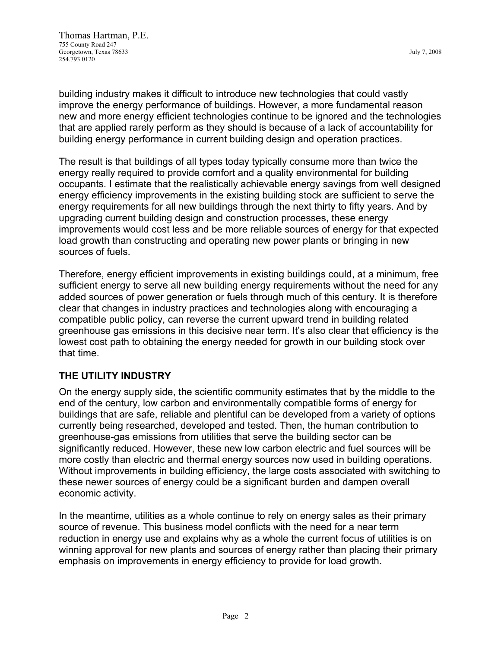Thomas Hartman, P.E. 755 County Road 247 Georgetown, Texas 78633 July 7, 2008 254.793.0120

building industry makes it difficult to introduce new technologies that could vastly improve the energy performance of buildings. However, a more fundamental reason new and more energy efficient technologies continue to be ignored and the technologies that are applied rarely perform as they should is because of a lack of accountability for building energy performance in current building design and operation practices.

The result is that buildings of all types today typically consume more than twice the energy really required to provide comfort and a quality environmental for building occupants. I estimate that the realistically achievable energy savings from well designed energy efficiency improvements in the existing building stock are sufficient to serve the energy requirements for all new buildings through the next thirty to fifty years. And by upgrading current building design and construction processes, these energy improvements would cost less and be more reliable sources of energy for that expected load growth than constructing and operating new power plants or bringing in new sources of fuels.

Therefore, energy efficient improvements in existing buildings could, at a minimum, free sufficient energy to serve all new building energy requirements without the need for any added sources of power generation or fuels through much of this century. It is therefore clear that changes in industry practices and technologies along with encouraging a compatible public policy, can reverse the current upward trend in building related greenhouse gas emissions in this decisive near term. It's also clear that efficiency is the lowest cost path to obtaining the energy needed for growth in our building stock over that time.

# **THE UTILITY INDUSTRY**

On the energy supply side, the scientific community estimates that by the middle to the end of the century, low carbon and environmentally compatible forms of energy for buildings that are safe, reliable and plentiful can be developed from a variety of options currently being researched, developed and tested. Then, the human contribution to greenhouse-gas emissions from utilities that serve the building sector can be significantly reduced. However, these new low carbon electric and fuel sources will be more costly than electric and thermal energy sources now used in building operations. Without improvements in building efficiency, the large costs associated with switching to these newer sources of energy could be a significant burden and dampen overall economic activity.

In the meantime, utilities as a whole continue to rely on energy sales as their primary source of revenue. This business model conflicts with the need for a near term reduction in energy use and explains why as a whole the current focus of utilities is on winning approval for new plants and sources of energy rather than placing their primary emphasis on improvements in energy efficiency to provide for load growth.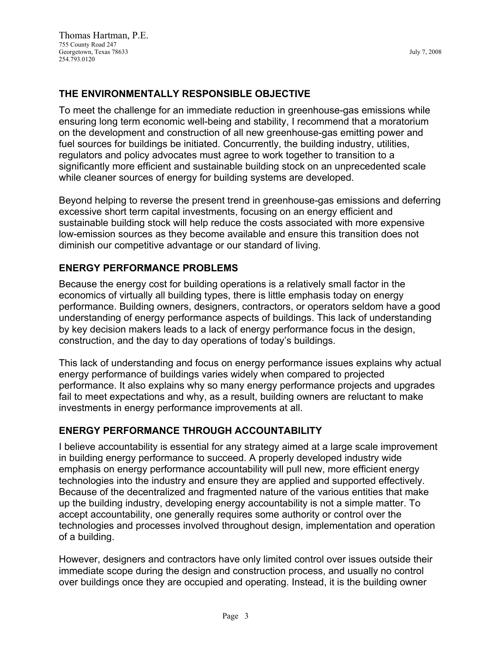## **THE ENVIRONMENTALLY RESPONSIBLE OBJECTIVE**

To meet the challenge for an immediate reduction in greenhouse-gas emissions while ensuring long term economic well-being and stability, I recommend that a moratorium on the development and construction of all new greenhouse-gas emitting power and fuel sources for buildings be initiated. Concurrently, the building industry, utilities, regulators and policy advocates must agree to work together to transition to a significantly more efficient and sustainable building stock on an unprecedented scale while cleaner sources of energy for building systems are developed.

Beyond helping to reverse the present trend in greenhouse-gas emissions and deferring excessive short term capital investments, focusing on an energy efficient and sustainable building stock will help reduce the costs associated with more expensive low-emission sources as they become available and ensure this transition does not diminish our competitive advantage or our standard of living.

## **ENERGY PERFORMANCE PROBLEMS**

Because the energy cost for building operations is a relatively small factor in the economics of virtually all building types, there is little emphasis today on energy performance. Building owners, designers, contractors, or operators seldom have a good understanding of energy performance aspects of buildings. This lack of understanding by key decision makers leads to a lack of energy performance focus in the design, construction, and the day to day operations of today's buildings.

This lack of understanding and focus on energy performance issues explains why actual energy performance of buildings varies widely when compared to projected performance. It also explains why so many energy performance projects and upgrades fail to meet expectations and why, as a result, building owners are reluctant to make investments in energy performance improvements at all.

## **ENERGY PERFORMANCE THROUGH ACCOUNTABILITY**

I believe accountability is essential for any strategy aimed at a large scale improvement in building energy performance to succeed. A properly developed industry wide emphasis on energy performance accountability will pull new, more efficient energy technologies into the industry and ensure they are applied and supported effectively. Because of the decentralized and fragmented nature of the various entities that make up the building industry, developing energy accountability is not a simple matter. To accept accountability, one generally requires some authority or control over the technologies and processes involved throughout design, implementation and operation of a building.

However, designers and contractors have only limited control over issues outside their immediate scope during the design and construction process, and usually no control over buildings once they are occupied and operating. Instead, it is the building owner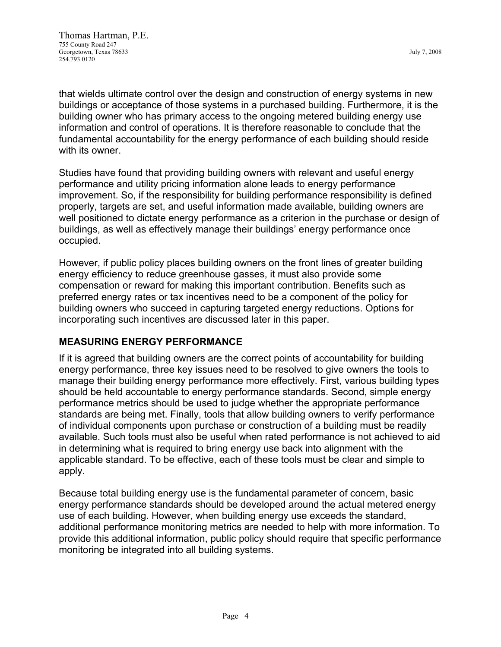that wields ultimate control over the design and construction of energy systems in new buildings or acceptance of those systems in a purchased building. Furthermore, it is the building owner who has primary access to the ongoing metered building energy use information and control of operations. It is therefore reasonable to conclude that the fundamental accountability for the energy performance of each building should reside with its owner.

Studies have found that providing building owners with relevant and useful energy performance and utility pricing information alone leads to energy performance improvement. So, if the responsibility for building performance responsibility is defined properly, targets are set, and useful information made available, building owners are well positioned to dictate energy performance as a criterion in the purchase or design of buildings, as well as effectively manage their buildings' energy performance once occupied.

However, if public policy places building owners on the front lines of greater building energy efficiency to reduce greenhouse gasses, it must also provide some compensation or reward for making this important contribution. Benefits such as preferred energy rates or tax incentives need to be a component of the policy for building owners who succeed in capturing targeted energy reductions. Options for incorporating such incentives are discussed later in this paper.

## **MEASURING ENERGY PERFORMANCE**

If it is agreed that building owners are the correct points of accountability for building energy performance, three key issues need to be resolved to give owners the tools to manage their building energy performance more effectively. First, various building types should be held accountable to energy performance standards. Second, simple energy performance metrics should be used to judge whether the appropriate performance standards are being met. Finally, tools that allow building owners to verify performance of individual components upon purchase or construction of a building must be readily available. Such tools must also be useful when rated performance is not achieved to aid in determining what is required to bring energy use back into alignment with the applicable standard. To be effective, each of these tools must be clear and simple to apply.

Because total building energy use is the fundamental parameter of concern, basic energy performance standards should be developed around the actual metered energy use of each building. However, when building energy use exceeds the standard, additional performance monitoring metrics are needed to help with more information. To provide this additional information, public policy should require that specific performance monitoring be integrated into all building systems.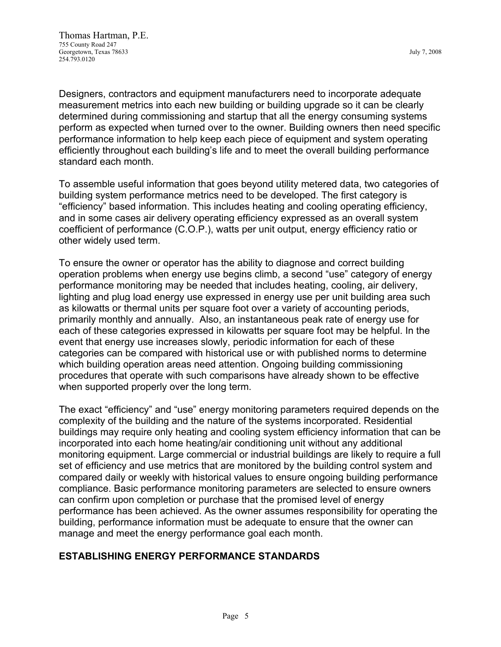Designers, contractors and equipment manufacturers need to incorporate adequate measurement metrics into each new building or building upgrade so it can be clearly determined during commissioning and startup that all the energy consuming systems perform as expected when turned over to the owner. Building owners then need specific performance information to help keep each piece of equipment and system operating efficiently throughout each building's life and to meet the overall building performance standard each month.

To assemble useful information that goes beyond utility metered data, two categories of building system performance metrics need to be developed. The first category is "efficiency" based information. This includes heating and cooling operating efficiency, and in some cases air delivery operating efficiency expressed as an overall system coefficient of performance (C.O.P.), watts per unit output, energy efficiency ratio or other widely used term.

To ensure the owner or operator has the ability to diagnose and correct building operation problems when energy use begins climb, a second "use" category of energy performance monitoring may be needed that includes heating, cooling, air delivery, lighting and plug load energy use expressed in energy use per unit building area such as kilowatts or thermal units per square foot over a variety of accounting periods, primarily monthly and annually. Also, an instantaneous peak rate of energy use for each of these categories expressed in kilowatts per square foot may be helpful. In the event that energy use increases slowly, periodic information for each of these categories can be compared with historical use or with published norms to determine which building operation areas need attention. Ongoing building commissioning procedures that operate with such comparisons have already shown to be effective when supported properly over the long term.

The exact "efficiency" and "use" energy monitoring parameters required depends on the complexity of the building and the nature of the systems incorporated. Residential buildings may require only heating and cooling system efficiency information that can be incorporated into each home heating/air conditioning unit without any additional monitoring equipment. Large commercial or industrial buildings are likely to require a full set of efficiency and use metrics that are monitored by the building control system and compared daily or weekly with historical values to ensure ongoing building performance compliance. Basic performance monitoring parameters are selected to ensure owners can confirm upon completion or purchase that the promised level of energy performance has been achieved. As the owner assumes responsibility for operating the building, performance information must be adequate to ensure that the owner can manage and meet the energy performance goal each month.

#### **ESTABLISHING ENERGY PERFORMANCE STANDARDS**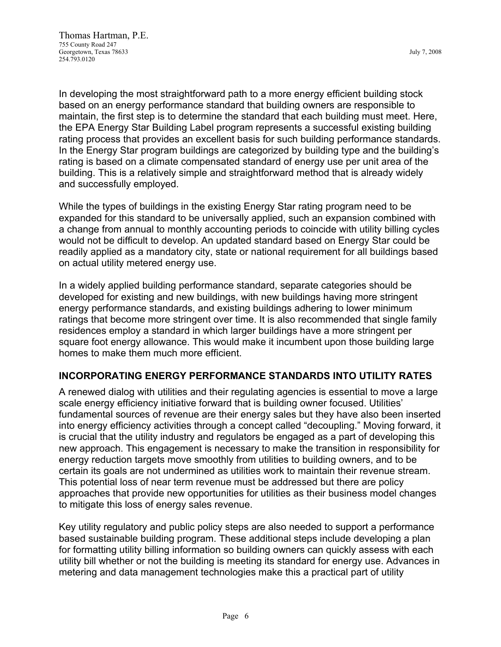In developing the most straightforward path to a more energy efficient building stock based on an energy performance standard that building owners are responsible to maintain, the first step is to determine the standard that each building must meet. Here, the EPA Energy Star Building Label program represents a successful existing building rating process that provides an excellent basis for such building performance standards. In the Energy Star program buildings are categorized by building type and the building's rating is based on a climate compensated standard of energy use per unit area of the building. This is a relatively simple and straightforward method that is already widely and successfully employed.

While the types of buildings in the existing Energy Star rating program need to be expanded for this standard to be universally applied, such an expansion combined with a change from annual to monthly accounting periods to coincide with utility billing cycles would not be difficult to develop. An updated standard based on Energy Star could be readily applied as a mandatory city, state or national requirement for all buildings based on actual utility metered energy use.

In a widely applied building performance standard, separate categories should be developed for existing and new buildings, with new buildings having more stringent energy performance standards, and existing buildings adhering to lower minimum ratings that become more stringent over time. It is also recommended that single family residences employ a standard in which larger buildings have a more stringent per square foot energy allowance. This would make it incumbent upon those building large homes to make them much more efficient.

## **INCORPORATING ENERGY PERFORMANCE STANDARDS INTO UTILITY RATES**

A renewed dialog with utilities and their regulating agencies is essential to move a large scale energy efficiency initiative forward that is building owner focused. Utilities' fundamental sources of revenue are their energy sales but they have also been inserted into energy efficiency activities through a concept called "decoupling." Moving forward, it is crucial that the utility industry and regulators be engaged as a part of developing this new approach. This engagement is necessary to make the transition in responsibility for energy reduction targets move smoothly from utilities to building owners, and to be certain its goals are not undermined as utilities work to maintain their revenue stream. This potential loss of near term revenue must be addressed but there are policy approaches that provide new opportunities for utilities as their business model changes to mitigate this loss of energy sales revenue.

Key utility regulatory and public policy steps are also needed to support a performance based sustainable building program. These additional steps include developing a plan for formatting utility billing information so building owners can quickly assess with each utility bill whether or not the building is meeting its standard for energy use. Advances in metering and data management technologies make this a practical part of utility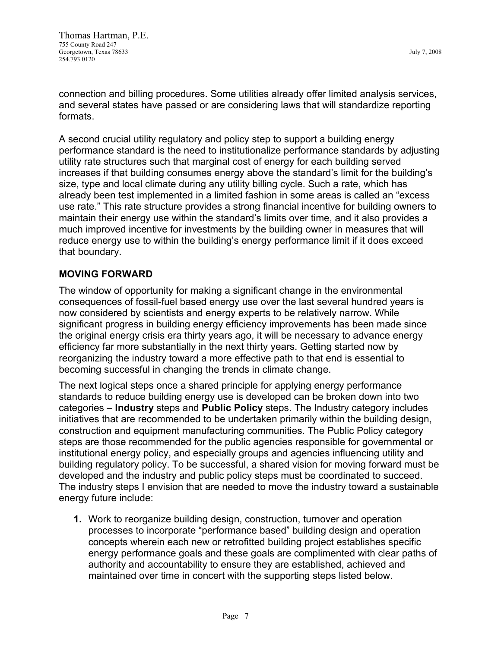connection and billing procedures. Some utilities already offer limited analysis services, and several states have passed or are considering laws that will standardize reporting formats.

A second crucial utility regulatory and policy step to support a building energy performance standard is the need to institutionalize performance standards by adjusting utility rate structures such that marginal cost of energy for each building served increases if that building consumes energy above the standard's limit for the building's size, type and local climate during any utility billing cycle. Such a rate, which has already been test implemented in a limited fashion in some areas is called an "excess use rate." This rate structure provides a strong financial incentive for building owners to maintain their energy use within the standard's limits over time, and it also provides a much improved incentive for investments by the building owner in measures that will reduce energy use to within the building's energy performance limit if it does exceed that boundary.

## **MOVING FORWARD**

The window of opportunity for making a significant change in the environmental consequences of fossil-fuel based energy use over the last several hundred years is now considered by scientists and energy experts to be relatively narrow. While significant progress in building energy efficiency improvements has been made since the original energy crisis era thirty years ago, it will be necessary to advance energy efficiency far more substantially in the next thirty years. Getting started now by reorganizing the industry toward a more effective path to that end is essential to becoming successful in changing the trends in climate change.

The next logical steps once a shared principle for applying energy performance standards to reduce building energy use is developed can be broken down into two categories – **Industry** steps and **Public Policy** steps. The Industry category includes initiatives that are recommended to be undertaken primarily within the building design, construction and equipment manufacturing communities. The Public Policy category steps are those recommended for the public agencies responsible for governmental or institutional energy policy, and especially groups and agencies influencing utility and building regulatory policy. To be successful, a shared vision for moving forward must be developed and the industry and public policy steps must be coordinated to succeed. The industry steps I envision that are needed to move the industry toward a sustainable energy future include:

**1.** Work to reorganize building design, construction, turnover and operation processes to incorporate "performance based" building design and operation concepts wherein each new or retrofitted building project establishes specific energy performance goals and these goals are complimented with clear paths of authority and accountability to ensure they are established, achieved and maintained over time in concert with the supporting steps listed below.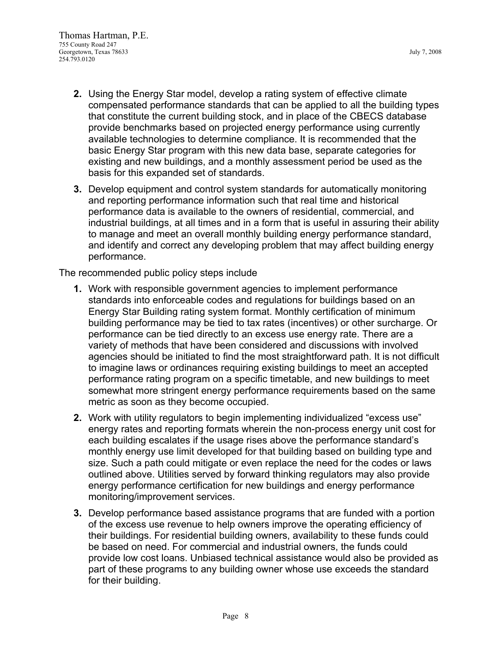- **2.** Using the Energy Star model, develop a rating system of effective climate compensated performance standards that can be applied to all the building types that constitute the current building stock, and in place of the CBECS database provide benchmarks based on projected energy performance using currently available technologies to determine compliance. It is recommended that the basic Energy Star program with this new data base, separate categories for existing and new buildings, and a monthly assessment period be used as the basis for this expanded set of standards.
- **3.** Develop equipment and control system standards for automatically monitoring and reporting performance information such that real time and historical performance data is available to the owners of residential, commercial, and industrial buildings, at all times and in a form that is useful in assuring their ability to manage and meet an overall monthly building energy performance standard, and identify and correct any developing problem that may affect building energy performance.

The recommended public policy steps include

- **1.** Work with responsible government agencies to implement performance standards into enforceable codes and regulations for buildings based on an Energy Star Building rating system format. Monthly certification of minimum building performance may be tied to tax rates (incentives) or other surcharge. Or performance can be tied directly to an excess use energy rate. There are a variety of methods that have been considered and discussions with involved agencies should be initiated to find the most straightforward path. It is not difficult to imagine laws or ordinances requiring existing buildings to meet an accepted performance rating program on a specific timetable, and new buildings to meet somewhat more stringent energy performance requirements based on the same metric as soon as they become occupied.
- **2.** Work with utility regulators to begin implementing individualized "excess use" energy rates and reporting formats wherein the non-process energy unit cost for each building escalates if the usage rises above the performance standard's monthly energy use limit developed for that building based on building type and size. Such a path could mitigate or even replace the need for the codes or laws outlined above. Utilities served by forward thinking regulators may also provide energy performance certification for new buildings and energy performance monitoring/improvement services.
- **3.** Develop performance based assistance programs that are funded with a portion of the excess use revenue to help owners improve the operating efficiency of their buildings. For residential building owners, availability to these funds could be based on need. For commercial and industrial owners, the funds could provide low cost loans. Unbiased technical assistance would also be provided as part of these programs to any building owner whose use exceeds the standard for their building.